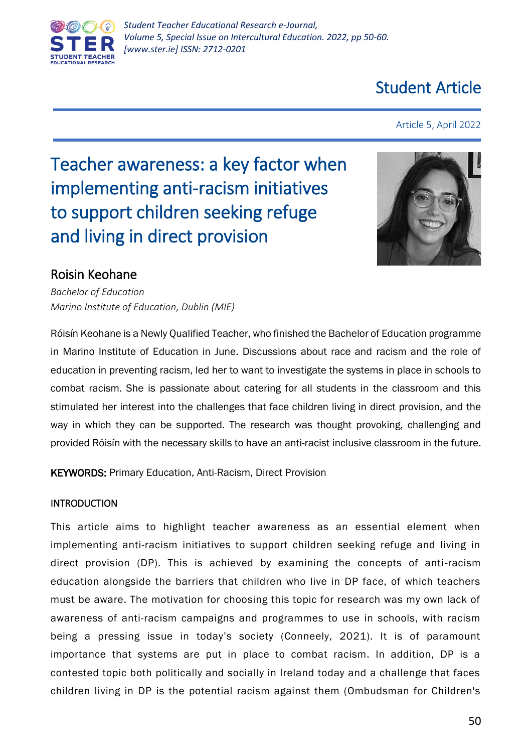

## Student Article

Article 5, April 2022

# Teacher awareness: a key factor when implementing anti-racism initiatives to support children seeking refuge and living in direct provision



### Roisin Keohane

*Bachelor of Education Marino Institute of Education, Dublin (MIE)*

Róisín Keohane is a Newly Qualified Teacher, who finished the Bachelor of Education programme in Marino Institute of Education in June. Discussions about race and racism and the role of education in preventing racism, led her to want to investigate the systems in place in schools to combat racism. She is passionate about catering for all students in the classroom and this stimulated her interest into the challenges that face children living in direct provision, and the way in which they can be supported. The research was thought provoking, challenging and provided Róisín with the necessary skills to have an anti-racist inclusive classroom in the future.

KEYWORDS: Primary Education, Anti-Racism, Direct Provision

#### INTRODUCTION

This article aims to highlight teacher awareness as an essential element when implementing anti-racism initiatives to support children seeking refuge and living in direct provision (DP). This is achieved by examining the concepts of anti-racism education alongside the barriers that children who live in DP face, of which teachers must be aware. The motivation for choosing this topic for research was my own lack of awareness of anti-racism campaigns and programmes to use in schools, with racism being a pressing issue in today's society (Conneely, 2021). It is of paramount importance that systems are put in place to combat racism. In addition, DP is a contested topic both politically and socially in Ireland today and a challenge that faces children living in DP is the potential racism against them (Ombudsman for Children's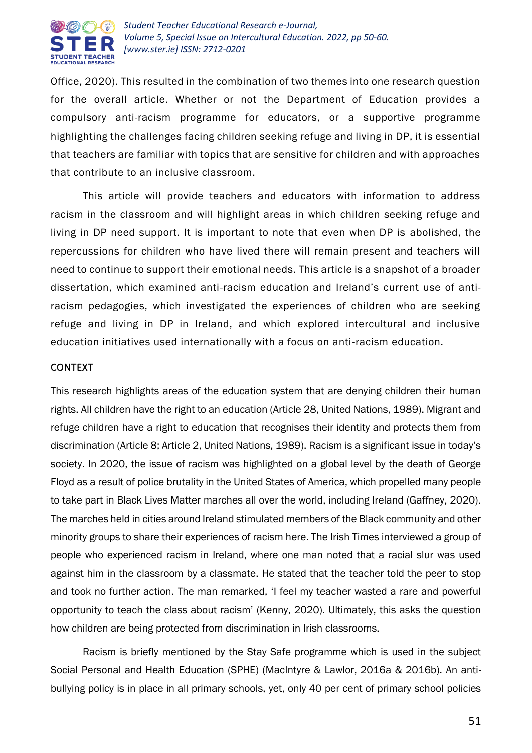

Office, 2020). This resulted in the combination of two themes into one research question for the overall article. Whether or not the Department of Education provides a compulsory anti-racism programme for educators, or a supportive programme highlighting the challenges facing children seeking refuge and living in DP, it is essential that teachers are familiar with topics that are sensitive for children and with approaches that contribute to an inclusive classroom.

This article will provide teachers and educators with information to address racism in the classroom and will highlight areas in which children seeking refuge and living in DP need support. It is important to note that even when DP is abolished, the repercussions for children who have lived there will remain present and teachers will need to continue to support their emotional needs. This article is a snapshot of a broader dissertation, which examined anti-racism education and Ireland's current use of antiracism pedagogies, which investigated the experiences of children who are seeking refuge and living in DP in Ireland, and which explored intercultural and inclusive education initiatives used internationally with a focus on anti-racism education.

#### CONTEXT

This research highlights areas of the education system that are denying children their human rights. All children have the right to an education (Article 28, United Nations, 1989). Migrant and refuge children have a right to education that recognises their identity and protects them from discrimination (Article 8; Article 2, United Nations, 1989). Racism is a significant issue in today's society. In 2020, the issue of racism was highlighted on a global level by the death of George Floyd as a result of police brutality in the United States of America, which propelled many people to take part in Black Lives Matter marches all over the world, including Ireland (Gaffney, 2020). The marches held in cities around Ireland stimulated members of the Black community and other minority groups to share their experiences of racism here. The Irish Times interviewed a group of people who experienced racism in Ireland, where one man noted that a racial slur was used against him in the classroom by a classmate. He stated that the teacher told the peer to stop and took no further action. The man remarked, 'I feel my teacher wasted a rare and powerful opportunity to teach the class about racism' (Kenny, 2020). Ultimately, this asks the question how children are being protected from discrimination in Irish classrooms.

Racism is briefly mentioned by the Stay Safe programme which is used in the subject Social Personal and Health Education (SPHE) (MacIntyre & Lawlor, 2016a & 2016b). An antibullying policy is in place in all primary schools, yet, only 40 per cent of primary school policies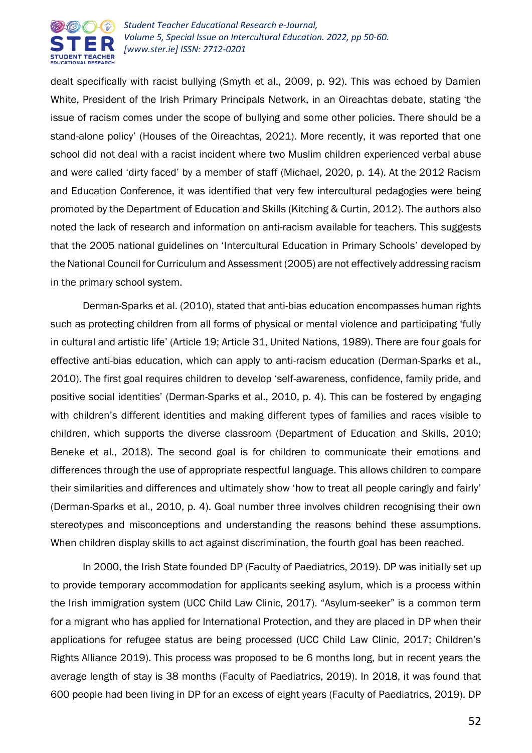

dealt specifically with racist bullying (Smyth et al., 2009, p. 92). This was echoed by Damien White, President of the Irish Primary Principals Network, in an Oireachtas debate, stating 'the issue of racism comes under the scope of bullying and some other policies. There should be a stand-alone policy' (Houses of the Oireachtas, 2021). More recently, it was reported that one school did not deal with a racist incident where two Muslim children experienced verbal abuse and were called 'dirty faced' by a member of staff (Michael, 2020, p. 14). At the 2012 Racism and Education Conference, it was identified that very few intercultural pedagogies were being promoted by the Department of Education and Skills (Kitching & Curtin, 2012). The authors also noted the lack of research and information on anti-racism available for teachers. This suggests that the 2005 national guidelines on 'Intercultural Education in Primary Schools' developed by the National Council for Curriculum and Assessment (2005) are not effectively addressing racism in the primary school system.

Derman-Sparks et al. (2010), stated that anti-bias education encompasses human rights such as protecting children from all forms of physical or mental violence and participating 'fully in cultural and artistic life' (Article 19; Article 31, United Nations, 1989). There are four goals for effective anti-bias education, which can apply to anti-racism education (Derman-Sparks et al., 2010). The first goal requires children to develop 'self-awareness, confidence, family pride, and positive social identities' (Derman-Sparks et al., 2010, p. 4). This can be fostered by engaging with children's different identities and making different types of families and races visible to children, which supports the diverse classroom (Department of Education and Skills, 2010; Beneke et al., 2018). The second goal is for children to communicate their emotions and differences through the use of appropriate respectful language. This allows children to compare their similarities and differences and ultimately show 'how to treat all people caringly and fairly' (Derman-Sparks et al., 2010, p. 4). Goal number three involves children recognising their own stereotypes and misconceptions and understanding the reasons behind these assumptions. When children display skills to act against discrimination, the fourth goal has been reached.

In 2000, the Irish State founded DP (Faculty of Paediatrics, 2019). DP was initially set up to provide temporary accommodation for applicants seeking asylum, which is a process within the Irish immigration system (UCC Child Law Clinic, 2017). "Asylum-seeker" is a common term for a migrant who has applied for International Protection, and they are placed in DP when their applications for refugee status are being processed (UCC Child Law Clinic, 2017; Children's Rights Alliance 2019). This process was proposed to be 6 months long, but in recent years the average length of stay is 38 months (Faculty of Paediatrics, 2019). In 2018, it was found that 600 people had been living in DP for an excess of eight years (Faculty of Paediatrics, 2019). DP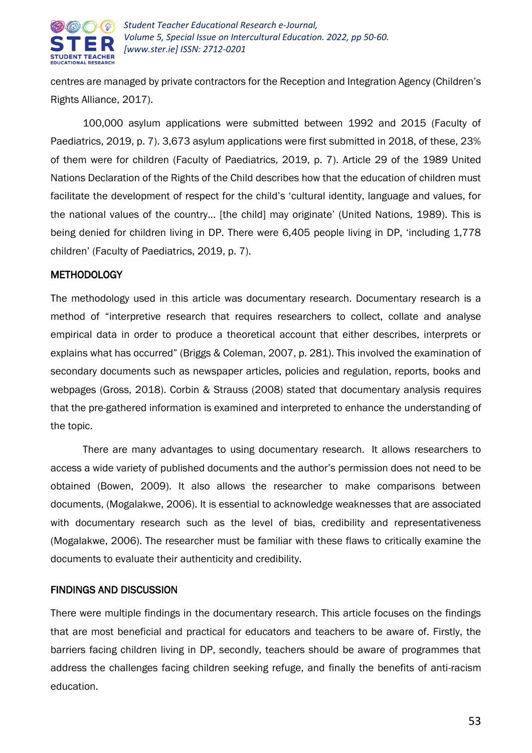

centres are managed by private contractors for the Reception and Integration Agency (Children's Rights Alliance, 2017).

100,000 asylum applications were submitted between 1992 and 2015 (Faculty of Paediatrics, 2019, p. 7). 3,673 asylum applications were first submitted in 2018, of these, 23% of them were for children (Faculty of Paediatrics, 2019, p. 7). Article 29 of the 1989 United Nations Declaration of the Rights of the Child describes how that the education of children must facilitate the development of respect for the child's 'cultural identity, language and values, for the national values of the country... [the child] may originate' (United Nations, 1989). This is being denied for children living in DP. There were 6,405 people living in DP, 'including 1,778 children' (Faculty of Paediatrics, 2019, p. 7).

#### METHODOLOGY

The methodology used in this article was documentary research. Documentary research is a method of "interpretive research that requires researchers to collect, collate and analyse empirical data in order to produce a theoretical account that either describes, interprets or explains what has occurred" (Briggs & Coleman, 2007, p. 281). This involved the examination of secondary documents such as newspaper articles, policies and regulation, reports, books and webpages (Gross, 2018). Corbin & Strauss (2008) stated that documentary analysis requires that the pre-gathered information is examined and interpreted to enhance the understanding of the topic.

There are many advantages to using documentary research. It allows researchers to access a wide variety of published documents and the author's permission does not need to be obtained (Bowen, 2009). It also allows the researcher to make comparisons between documents, (Mogalakwe, 2006). It is essential to acknowledge weaknesses that are associated with documentary research such as the level of bias, credibility and representativeness (Mogalakwe, 2006). The researcher must be familiar with these flaws to critically examine the documents to evaluate their authenticity and credibility.

#### FINDINGS AND DISCUSSION

There were multiple findings in the documentary research. This article focuses on the findings that are most beneficial and practical for educators and teachers to be aware of. Firstly, the barriers facing children living in DP, secondly, teachers should be aware of programmes that address the challenges facing children seeking refuge, and finally the benefits of anti-racism education.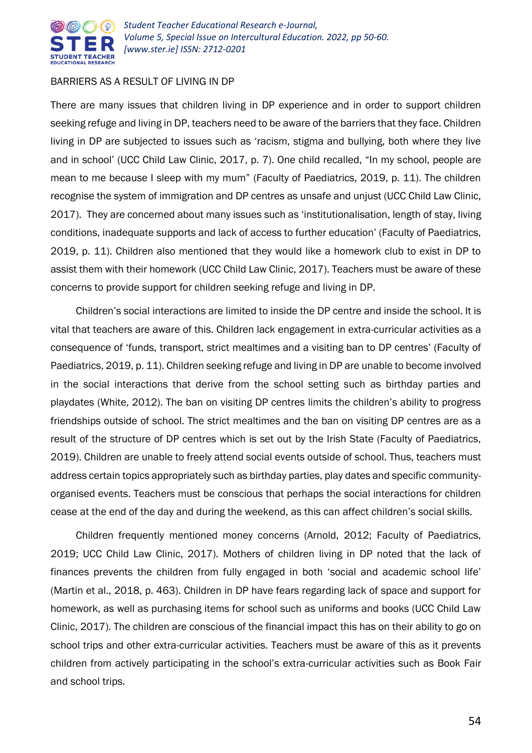

#### BARRIERS AS A RESULT OF LIVING IN DP

There are many issues that children living in DP experience and in order to support children seeking refuge and living in DP, teachers need to be aware of the barriers that they face. Children living in DP are subjected to issues such as 'racism, stigma and bullying, both where they live and in school' (UCC Child Law Clinic, 2017, p. 7). One child recalled, "In my school, people are mean to me because I sleep with my mum" (Faculty of Paediatrics, 2019, p. 11). The children recognise the system of immigration and DP centres as unsafe and unjust (UCC Child Law Clinic, 2017). They are concerned about many issues such as 'institutionalisation, length of stay, living conditions, inadequate supports and lack of access to further education' (Faculty of Paediatrics, 2019, p. 11). Children also mentioned that they would like a homework club to exist in DP to assist them with their homework (UCC Child Law Clinic, 2017). Teachers must be aware of these concerns to provide support for children seeking refuge and living in DP.

Children's social interactions are limited to inside the DP centre and inside the school. It is vital that teachers are aware of this. Children lack engagement in extra-curricular activities as a consequence of 'funds, transport, strict mealtimes and a visiting ban to DP centres' (Faculty of Paediatrics, 2019, p. 11). Children seeking refuge and living in DP are unable to become involved in the social interactions that derive from the school setting such as birthday parties and playdates (White, 2012). The ban on visiting DP centres limits the children's ability to progress friendships outside of school. The strict mealtimes and the ban on visiting DP centres are as a result of the structure of DP centres which is set out by the Irish State (Faculty of Paediatrics, 2019). Children are unable to freely attend social events outside of school. Thus, teachers must address certain topics appropriately such as birthday parties, play dates and specific communityorganised events. Teachers must be conscious that perhaps the social interactions for children cease at the end of the day and during the weekend, as this can affect children's social skills.

Children frequently mentioned money concerns (Arnold, 2012; Faculty of Paediatrics, 2019; UCC Child Law Clinic, 2017). Mothers of children living in DP noted that the lack of finances prevents the children from fully engaged in both 'social and academic school life' (Martin et al., 2018, p. 463). Children in DP have fears regarding lack of space and support for homework, as well as purchasing items for school such as uniforms and books (UCC Child Law Clinic, 2017). The children are conscious of the financial impact this has on their ability to go on school trips and other extra-curricular activities. Teachers must be aware of this as it prevents children from actively participating in the school's extra-curricular activities such as Book Fair and school trips.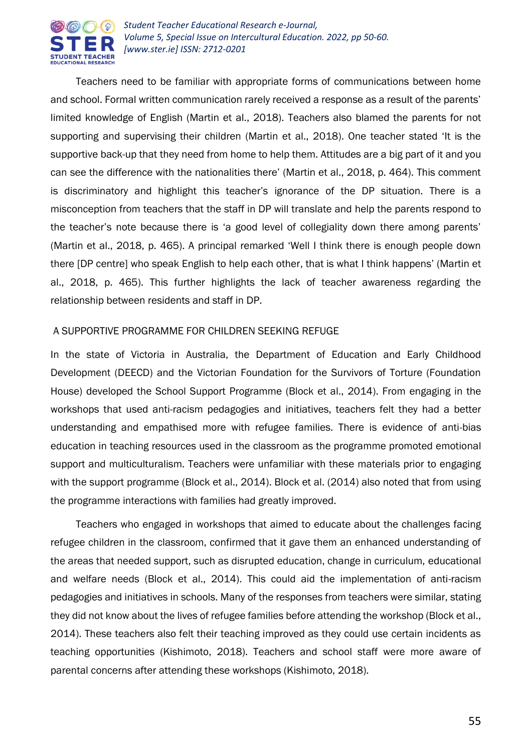

Teachers need to be familiar with appropriate forms of communications between home and school. Formal written communication rarely received a response as a result of the parents' limited knowledge of English (Martin et al., 2018). Teachers also blamed the parents for not supporting and supervising their children (Martin et al., 2018). One teacher stated 'It is the supportive back-up that they need from home to help them. Attitudes are a big part of it and you can see the difference with the nationalities there' (Martin et al., 2018, p. 464). This comment is discriminatory and highlight this teacher's ignorance of the DP situation. There is a misconception from teachers that the staff in DP will translate and help the parents respond to the teacher's note because there is 'a good level of collegiality down there among parents' (Martin et al., 2018, p. 465). A principal remarked 'Well I think there is enough people down there [DP centre] who speak English to help each other, that is what I think happens' (Martin et al., 2018, p. 465). This further highlights the lack of teacher awareness regarding the relationship between residents and staff in DP.

#### A SUPPORTIVE PROGRAMME FOR CHILDREN SEEKING REFUGE

In the state of Victoria in Australia, the Department of Education and Early Childhood Development (DEECD) and the Victorian Foundation for the Survivors of Torture (Foundation House) developed the School Support Programme (Block et al., 2014). From engaging in the workshops that used anti-racism pedagogies and initiatives, teachers felt they had a better understanding and empathised more with refugee families. There is evidence of anti-bias education in teaching resources used in the classroom as the programme promoted emotional support and multiculturalism. Teachers were unfamiliar with these materials prior to engaging with the support programme (Block et al., 2014). Block et al. (2014) also noted that from using the programme interactions with families had greatly improved.

Teachers who engaged in workshops that aimed to educate about the challenges facing refugee children in the classroom, confirmed that it gave them an enhanced understanding of the areas that needed support, such as disrupted education, change in curriculum, educational and welfare needs (Block et al., 2014). This could aid the implementation of anti-racism pedagogies and initiatives in schools. Many of the responses from teachers were similar, stating they did not know about the lives of refugee families before attending the workshop (Block et al., 2014). These teachers also felt their teaching improved as they could use certain incidents as teaching opportunities (Kishimoto, 2018). Teachers and school staff were more aware of parental concerns after attending these workshops (Kishimoto, 2018).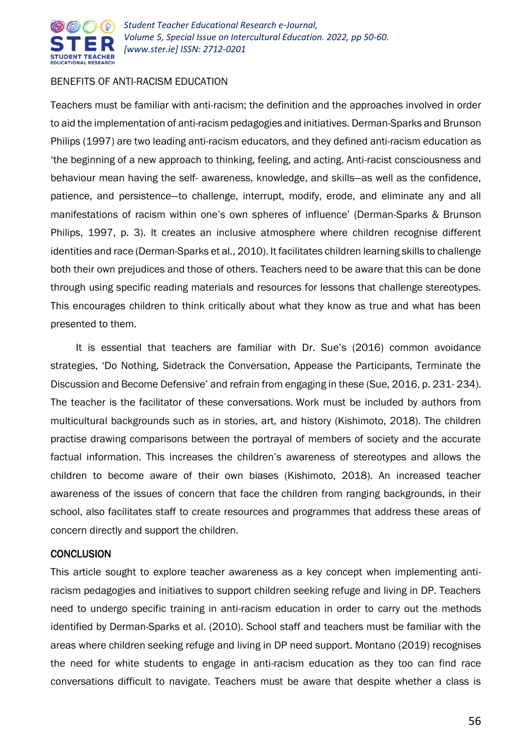

#### BENEFITS OF ANTI-RACISM EDUCATION

Teachers must be familiar with anti-racism; the definition and the approaches involved in order to aid the implementation of anti-racism pedagogies and initiatives. Derman-Sparks and Brunson Philips (1997) are two leading anti-racism educators, and they defined anti-racism education as 'the beginning of a new approach to thinking, feeling, and acting. Anti-racist consciousness and behaviour mean having the self- awareness, knowledge, and skills—as well as the confidence, patience, and persistence—to challenge, interrupt, modify, erode, and eliminate any and all manifestations of racism within one's own spheres of influence' (Derman-Sparks & Brunson Philips, 1997, p. 3). It creates an inclusive atmosphere where children recognise different identities and race (Derman-Sparks et al., 2010). It facilitates children learning skills to challenge both their own prejudices and those of others. Teachers need to be aware that this can be done through using specific reading materials and resources for lessons that challenge stereotypes. This encourages children to think critically about what they know as true and what has been presented to them.

It is essential that teachers are familiar with Dr. Sue's (2016) common avoidance strategies, 'Do Nothing, Sidetrack the Conversation, Appease the Participants, Terminate the Discussion and Become Defensive' and refrain from engaging in these (Sue, 2016, p. 231- 234). The teacher is the facilitator of these conversations. Work must be included by authors from multicultural backgrounds such as in stories, art, and history (Kishimoto, 2018). The children practise drawing comparisons between the portrayal of members of society and the accurate factual information. This increases the children's awareness of stereotypes and allows the children to become aware of their own biases (Kishimoto, 2018). An increased teacher awareness of the issues of concern that face the children from ranging backgrounds, in their school, also facilitates staff to create resources and programmes that address these areas of concern directly and support the children.

#### **CONCLUSION**

This article sought to explore teacher awareness as a key concept when implementing antiracism pedagogies and initiatives to support children seeking refuge and living in DP. Teachers need to undergo specific training in anti-racism education in order to carry out the methods identified by Derman-Sparks et al. (2010). School staff and teachers must be familiar with the areas where children seeking refuge and living in DP need support. Montano (2019) recognises the need for white students to engage in anti-racism education as they too can find race conversations difficult to navigate. Teachers must be aware that despite whether a class is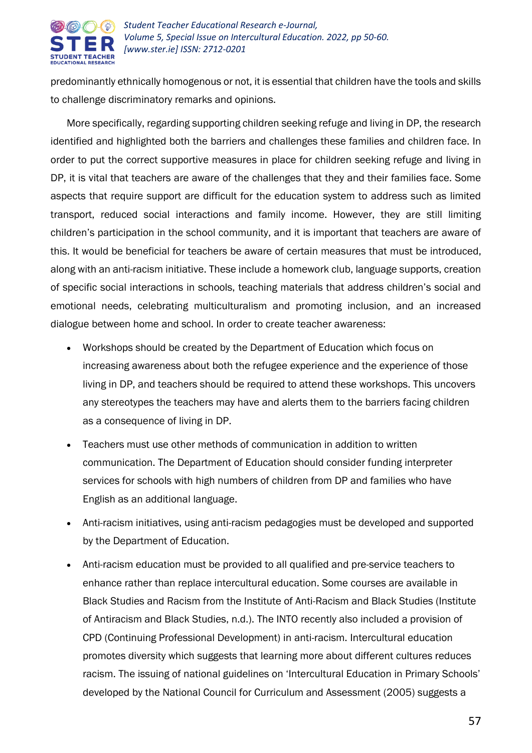

predominantly ethnically homogenous or not, it is essential that children have the tools and skills to challenge discriminatory remarks and opinions.

More specifically, regarding supporting children seeking refuge and living in DP, the research identified and highlighted both the barriers and challenges these families and children face. In order to put the correct supportive measures in place for children seeking refuge and living in DP, it is vital that teachers are aware of the challenges that they and their families face. Some aspects that require support are difficult for the education system to address such as limited transport, reduced social interactions and family income. However, they are still limiting children's participation in the school community, and it is important that teachers are aware of this. It would be beneficial for teachers be aware of certain measures that must be introduced, along with an anti-racism initiative. These include a homework club, language supports, creation of specific social interactions in schools, teaching materials that address children's social and emotional needs, celebrating multiculturalism and promoting inclusion, and an increased dialogue between home and school. In order to create teacher awareness:

- Workshops should be created by the Department of Education which focus on increasing awareness about both the refugee experience and the experience of those living in DP, and teachers should be required to attend these workshops. This uncovers any stereotypes the teachers may have and alerts them to the barriers facing children as a consequence of living in DP.
- Teachers must use other methods of communication in addition to written communication. The Department of Education should consider funding interpreter services for schools with high numbers of children from DP and families who have English as an additional language.
- Anti-racism initiatives, using anti-racism pedagogies must be developed and supported by the Department of Education.
- Anti-racism education must be provided to all qualified and pre-service teachers to enhance rather than replace intercultural education. Some courses are available in Black Studies and Racism from the Institute of Anti-Racism and Black Studies (Institute of Antiracism and Black Studies, n.d.). The INTO recently also included a provision of CPD (Continuing Professional Development) in anti-racism. Intercultural education promotes diversity which suggests that learning more about different cultures reduces racism. The issuing of national guidelines on 'Intercultural Education in Primary Schools' developed by the National Council for Curriculum and Assessment (2005) suggests a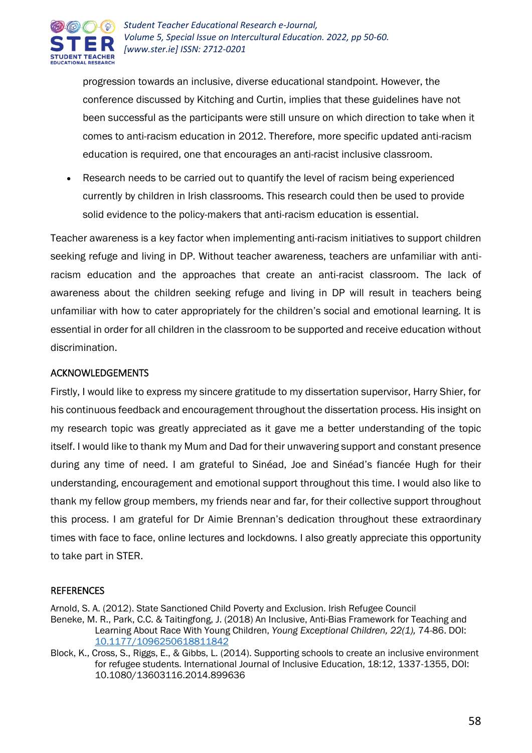

progression towards an inclusive, diverse educational standpoint. However, the conference discussed by Kitching and Curtin, implies that these guidelines have not been successful as the participants were still unsure on which direction to take when it comes to anti-racism education in 2012. Therefore, more specific updated anti-racism education is required, one that encourages an anti-racist inclusive classroom.

 Research needs to be carried out to quantify the level of racism being experienced currently by children in Irish classrooms. This research could then be used to provide solid evidence to the policy-makers that anti-racism education is essential.

Teacher awareness is a key factor when implementing anti-racism initiatives to support children seeking refuge and living in DP. Without teacher awareness, teachers are unfamiliar with antiracism education and the approaches that create an anti-racist classroom. The lack of awareness about the children seeking refuge and living in DP will result in teachers being unfamiliar with how to cater appropriately for the children's social and emotional learning. It is essential in order for all children in the classroom to be supported and receive education without discrimination.

#### ACKNOWLEDGEMENTS

Firstly, I would like to express my sincere gratitude to my dissertation supervisor, Harry Shier, for his continuous feedback and encouragement throughout the dissertation process. His insight on my research topic was greatly appreciated as it gave me a better understanding of the topic itself. I would like to thank my Mum and Dad for their unwavering support and constant presence during any time of need. I am grateful to Sinéad, Joe and Sinéad's fiancée Hugh for their understanding, encouragement and emotional support throughout this time. I would also like to thank my fellow group members, my friends near and far, for their collective support throughout this process. I am grateful for Dr Aimie Brennan's dedication throughout these extraordinary times with face to face, online lectures and lockdowns. I also greatly appreciate this opportunity to take part in STER.

#### **REFERENCES**

Arnold, S. A. (2012). State Sanctioned Child Poverty and Exclusion. Irish Refugee Council

Beneke, M. R., Park, C.C. & Taitingfong, J. (2018) An Inclusive, Anti-Bias Framework for Teaching and Learning About Race With Young Children, *Young Exceptional Children, 22(1),* 74-86. DOI: [10.1177/1096250618811842](https://www.researchgate.net/deref/http%3A%2F%2Fdx.doi.org%2F10.1177%2F1096250618811842?_sg%5B0%5D=sQk0uRc79UARU-sDaaYtif0m7BSWxvWc6ycHDgp5ZHESt7iuL2YyloWt40Jf5I1uqHeohToJ9p6qcEtvQcS6VmweHA.PaDtUgv60E5fGJzv4L8x9N9v7va2yuMcxF1mMH01LvRBharXxmE0RM0g8zWTnSR-77mCdtQXeNS65zo7mzxKtQ)

Block, K., Cross, S., Riggs, E., & Gibbs, L. (2014). Supporting schools to create an inclusive environment for refugee students. International Journal of Inclusive Education, 18:12, 1337-1355, DOI: 10.1080/13603116.2014.899636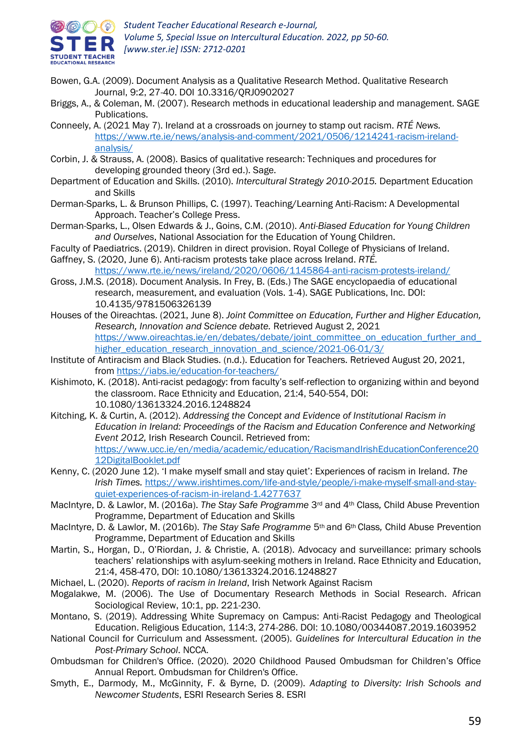

- Bowen, G.A. (2009). Document Analysis as a Qualitative Research Method. Qualitative Research Journal, 9:2, 27-40. DOI 10.3316/QRJ0902027
- Briggs, A., & Coleman, M. (2007). Research methods in educational leadership and management. SAGE Publications.
- Conneely, A. (2021 May 7). Ireland at a crossroads on journey to stamp out racism. *RTÉ News.* [https://www.rte.ie/news/analysis-and-comment/2021/0506/1214241-racism-ireland](https://www.rte.ie/news/analysis-and-comment/2021/0506/1214241-racism-ireland-analysis/)[analysis/](https://www.rte.ie/news/analysis-and-comment/2021/0506/1214241-racism-ireland-analysis/)
- Corbin, J. & Strauss, A. (2008). Basics of qualitative research: Techniques and procedures for developing grounded theory (3rd ed.). Sage.
- Department of Education and Skills. (2010). *Intercultural Strategy 2010-2015.* Department Education and Skills
- Derman-Sparks, L. & Brunson Phillips, C. (1997). Teaching/Learning Anti-Racism: A Developmental Approach. Teacher's College Press.
- Derman-Sparks, L., Olsen Edwards & J., Goins, C.M. (2010). *Anti-Biased Education for Young Children and Ourselves*, National Association for the Education of Young Children.
- Faculty of Paediatrics. (2019). Children in direct provision. Royal College of Physicians of Ireland.
- Gaffney, S. (2020, June 6). Anti-racism protests take place across Ireland. *RTÉ.*  <https://www.rte.ie/news/ireland/2020/0606/1145864-anti-racism-protests-ireland/>
- Gross, J.M.S. (2018). Document Analysis. In Frey, B. (Eds.) The SAGE encyclopaedia of educational research, measurement, and evaluation (Vols. 1-4). SAGE Publications, Inc. DOI: 10.4135/9781506326139
- Houses of the Oireachtas. (2021, June 8). *Joint Committee on Education, Further and Higher Education, Research, Innovation and Science debate.* Retrieved August 2, 2021 https://www.oireachtas.ie/en/debates/debate/joint\_committee\_on\_education\_further\_and [higher\\_education\\_research\\_innovation\\_and\\_science/2021-06-01/3/](https://www.oireachtas.ie/en/debates/debate/joint_committee_on_education_further_and_higher_education_research_innovation_and_science/2021-06-01/3/)
- Institute of Antiracism and Black Studies. (n.d.). Education for Teachers. Retrieved August 20, 2021, fro[m https://iabs.ie/education-for-teachers/](https://iabs.ie/education-for-teachers/)
- Kishimoto, K. (2018). Anti-racist pedagogy: from faculty's self-reflection to organizing within and beyond the classroom. Race Ethnicity and Education, 21:4, 540-554, DOI: 10.1080/13613324.2016.1248824
- Kitching, K. & Curtin, A. (2012). *Addressing the Concept and Evidence of Institutional Racism in Education in Ireland: Proceedings of the Racism and Education Conference and Networking Event 2012,* Irish Research Council. Retrieved from: [https://www.ucc.ie/en/media/academic/education/RacismandIrishEducationConference20](https://www.ucc.ie/en/media/academic/education/RacismandIrishEducationConference2012DigitalBooklet.pdf) [12DigitalBooklet.pdf](https://www.ucc.ie/en/media/academic/education/RacismandIrishEducationConference2012DigitalBooklet.pdf)
- Kenny, C. (2020 June 12). 'I make myself small and stay quiet': Experiences of racism in Ireland. *The Irish Times.* [https://www.irishtimes.com/life-and-style/people/i-make-myself-small-and-stay](https://www.irishtimes.com/life-and-style/people/i-make-myself-small-and-stay-quiet-experiences-of-racism-in-ireland-1.4277637)[quiet-experiences-of-racism-in-ireland-1.4277637](https://www.irishtimes.com/life-and-style/people/i-make-myself-small-and-stay-quiet-experiences-of-racism-in-ireland-1.4277637)
- MacIntyre, D. & Lawlor, M. (2016a). *The Stay Safe Programme* 3rd and 4th Class*,* Child Abuse Prevention Programme, Department of Education and Skills
- MacIntyre, D. & Lawlor, M. (2016b). *The Stay Safe Programme* 5th and 6th Class*,* Child Abuse Prevention Programme, Department of Education and Skills
- Martin, S., Horgan, D., O'Riordan, J. & Christie, A. (2018). Advocacy and surveillance: primary schools teachers' relationships with asylum-seeking mothers in Ireland. Race Ethnicity and Education, 21:4, 458-470, DOI: 10.1080/13613324.2016.1248827
- Michael, L. (2020). *Reports of racism in Ireland*, Irish Network Against Racism
- Mogalakwe, M. (2006). The Use of Documentary Research Methods in Social Research. African Sociological Review, 10:1, pp. 221-230.
- Montano, S. (2019). Addressing White Supremacy on Campus: Anti-Racist Pedagogy and Theological Education. Religious Education, 114:3, 274-286. DOI: 10.1080/00344087.2019.1603952
- National Council for Curriculum and Assessment. (2005). *Guidelines for Intercultural Education in the Post-Primary School*. NCCA.
- Ombudsman for Children's Office. (2020). 2020 Childhood Paused Ombudsman for Children's Office Annual Report. Ombudsman for Children's Office.
- Smyth, E., Darmody, M., McGinnity, F. & Byrne, D. (2009). *Adapting to Diversity: Irish Schools and Newcomer Students*, ESRI Research Series 8. ESRI